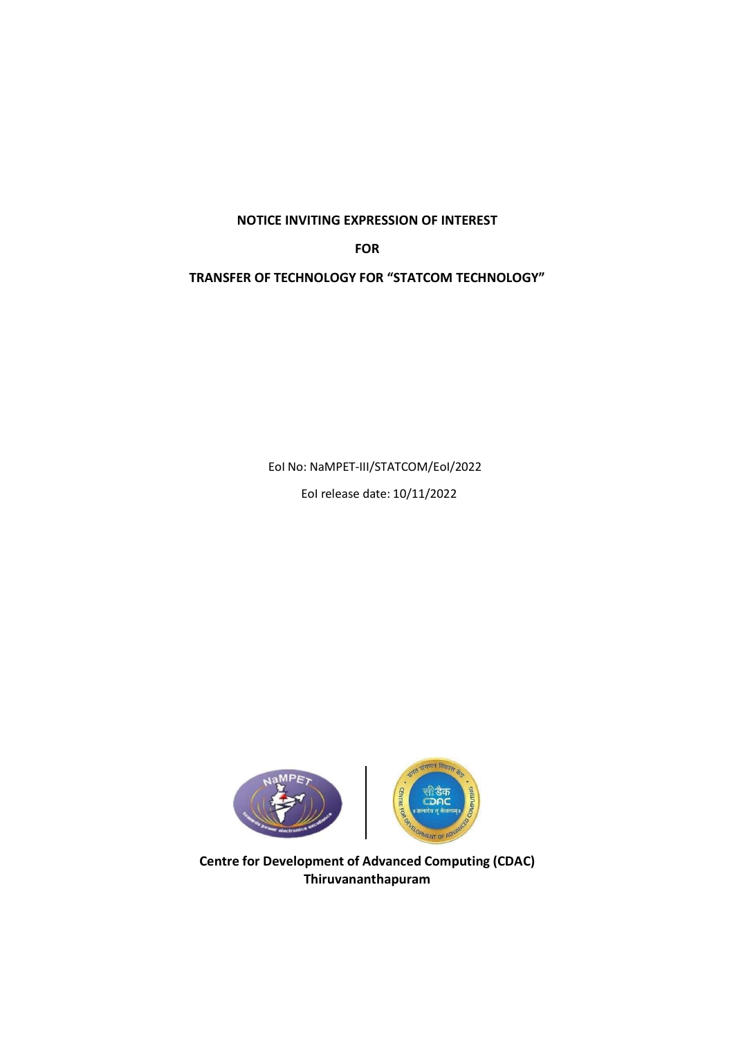NOTICE INVITING EXPRESSION OF INTEREST

FOR

TRANSFER OF TECHNOLOGY FOR "STATCOM TECHNOLOGY"

EoI No: NaMPET-III/STATCOM/EoI/2022

EoI release date: 10/11/2022





Centre for Development of Advanced Computing (CDAC) Thiruvananthapuram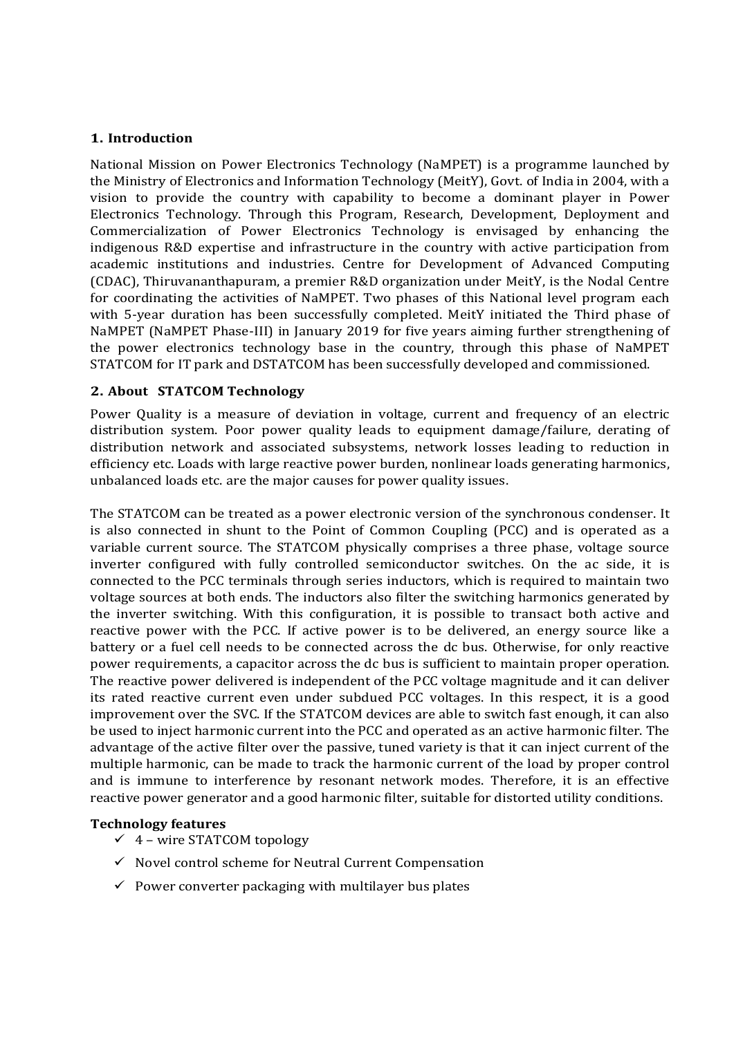#### 1. Introduction

National Mission on Power Electronics Technology (NaMPET) is a programme launched by the Ministry of Electronics and Information Technology (MeitY), Govt. of India in 2004, with a vision to provide the country with capability to become a dominant player in Power Electronics Technology. Through this Program, Research, Development, Deployment and Commercialization of Power Electronics Technology is envisaged by enhancing the indigenous R&D expertise and infrastructure in the country with active participation from academic institutions and industries. Centre for Development of Advanced Computing (CDAC), Thiruvananthapuram, a premier R&D organization under MeitY, is the Nodal Centre for coordinating the activities of NaMPET. Two phases of this National level program each with 5-year duration has been successfully completed. MeitY initiated the Third phase of NaMPET (NaMPET Phase-III) in January 2019 for five years aiming further strengthening of the power electronics technology base in the country, through this phase of NaMPET STATCOM for IT park and DSTATCOM has been successfully developed and commissioned.

## 2. About STATCOM Technology

Power Quality is a measure of deviation in voltage, current and frequency of an electric distribution system. Poor power quality leads to equipment damage/failure, derating of distribution network and associated subsystems, network losses leading to reduction in efficiency etc. Loads with large reactive power burden, nonlinear loads generating harmonics, unbalanced loads etc. are the major causes for power quality issues.

The STATCOM can be treated as a power electronic version of the synchronous condenser. It is also connected in shunt to the Point of Common Coupling (PCC) and is operated as a variable current source. The STATCOM physically comprises a three phase, voltage source inverter configured with fully controlled semiconductor switches. On the ac side, it is connected to the PCC terminals through series inductors, which is required to maintain two voltage sources at both ends. The inductors also filter the switching harmonics generated by the inverter switching. With this configuration, it is possible to transact both active and reactive power with the PCC. If active power is to be delivered, an energy source like a battery or a fuel cell needs to be connected across the dc bus. Otherwise, for only reactive power requirements, a capacitor across the dc bus is sufficient to maintain proper operation. The reactive power delivered is independent of the PCC voltage magnitude and it can deliver its rated reactive current even under subdued PCC voltages. In this respect, it is a good improvement over the SVC. If the STATCOM devices are able to switch fast enough, it can also be used to inject harmonic current into the PCC and operated as an active harmonic filter. The advantage of the active filter over the passive, tuned variety is that it can inject current of the multiple harmonic, can be made to track the harmonic current of the load by proper control and is immune to interference by resonant network modes. Therefore, it is an effective reactive power generator and a good harmonic filter, suitable for distorted utility conditions.

#### Technology features

- $\checkmark$  4 wire STATCOM topology
- $\checkmark$  Novel control scheme for Neutral Current Compensation
- $\checkmark$  Power converter packaging with multilayer bus plates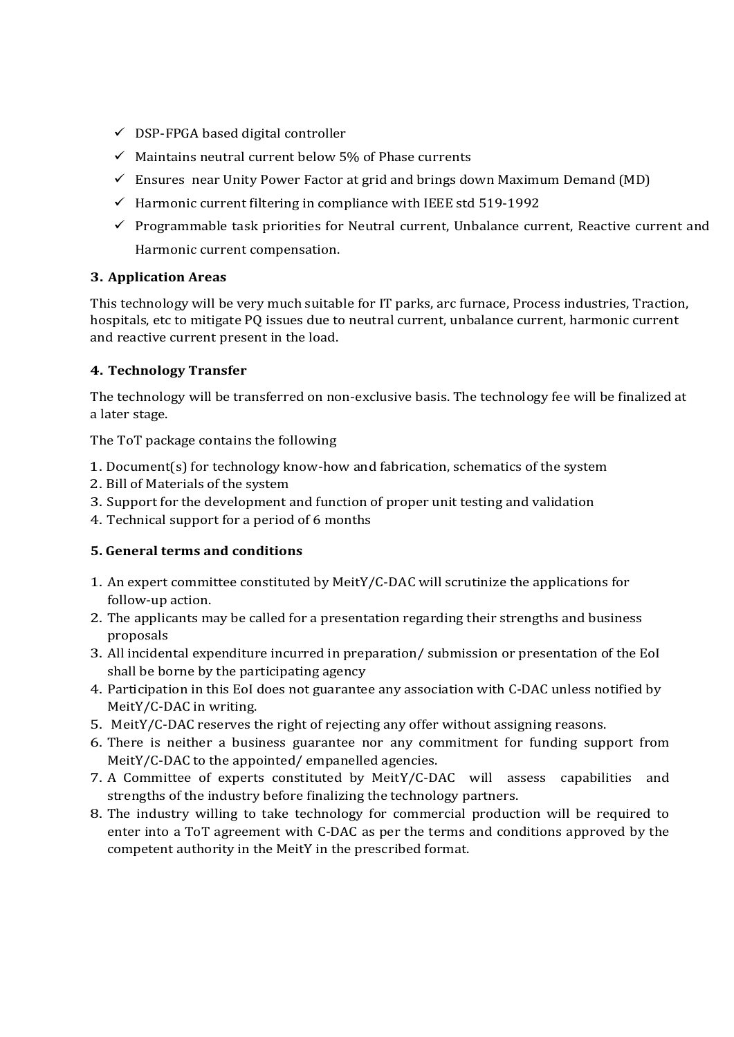- $\checkmark$  DSP-FPGA based digital controller
- $\checkmark$  Maintains neutral current below 5% of Phase currents
- $\checkmark$  Ensures near Unity Power Factor at grid and brings down Maximum Demand (MD)
- $\checkmark$  Harmonic current filtering in compliance with IEEE std 519-1992
- $\checkmark$  Programmable task priorities for Neutral current, Unbalance current, Reactive current and Harmonic current compensation.

## 3. Application Areas

This technology will be very much suitable for IT parks, arc furnace, Process industries, Traction, hospitals, etc to mitigate PQ issues due to neutral current, unbalance current, harmonic current and reactive current present in the load.

## 4. Technology Transfer

The technology will be transferred on non-exclusive basis. The technology fee will be finalized at a later stage.

The ToT package contains the following

- 1. Document(s) for technology know-how and fabrication, schematics of the system
- 2. Bill of Materials of the system
- 3. Support for the development and function of proper unit testing and validation
- 4. Technical support for a period of 6 months

# 5. General terms and conditions

- 1. An expert committee constituted by MeitY/C-DAC will scrutinize the applications for follow-up action.
- 2. The applicants may be called for a presentation regarding their strengths and business proposals
- 3. All incidental expenditure incurred in preparation/ submission or presentation of the EoI shall be borne by the participating agency
- 4. Participation in this EoI does not guarantee any association with C-DAC unless notified by MeitY/C-DAC in writing.
- 5. MeitY/C-DAC reserves the right of rejecting any offer without assigning reasons.
- 6. There is neither a business guarantee nor any commitment for funding support from MeitY/C-DAC to the appointed/ empanelled agencies.
- 7. A Committee of experts constituted by MeitY/C-DAC will assess capabilities and strengths of the industry before finalizing the technology partners.
- 8. The industry willing to take technology for commercial production will be required to enter into a ToT agreement with C-DAC as per the terms and conditions approved by the competent authority in the MeitY in the prescribed format.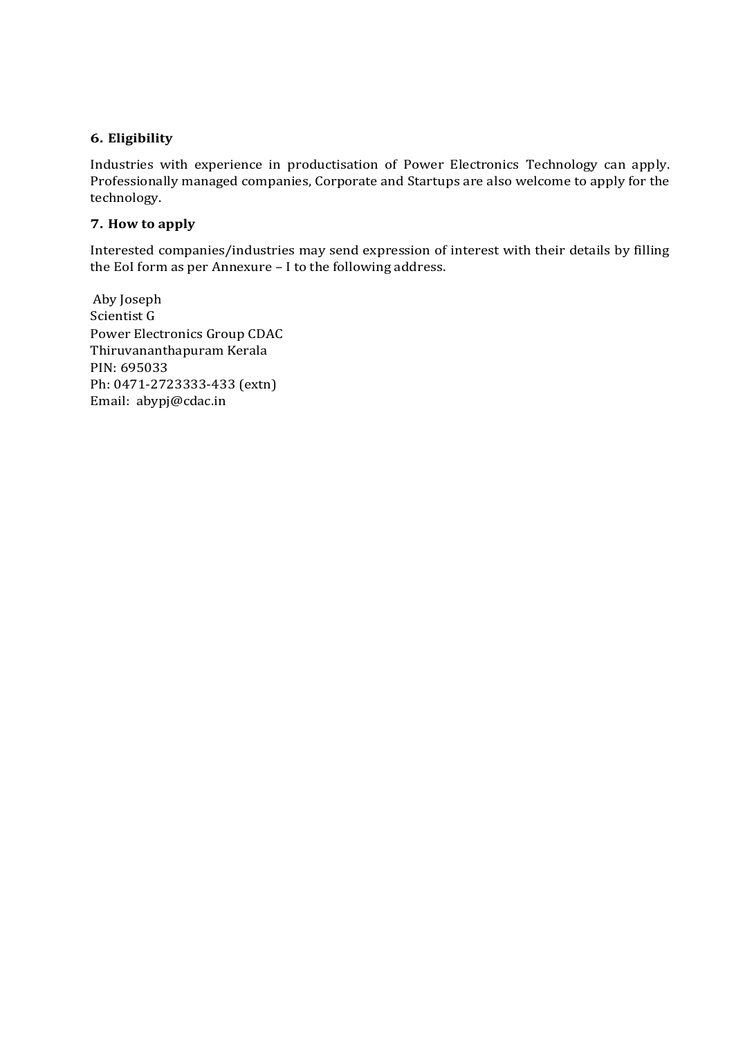## 6. Eligibility

Industries with experience in productisation of Power Electronics Technology can apply. Professionally managed companies, Corporate and Startups are also welcome to apply for the technology.

## 7. How to apply

Interested companies/industries may send expression of interest with their details by filling the EoI form as per Annexure – I to the following address.

Aby Joseph Scientist G Power Electronics Group CDAC Thiruvananthapuram Kerala PIN: 695033 Ph: 0471-2723333-433 (extn) Email: abypj@cdac.in